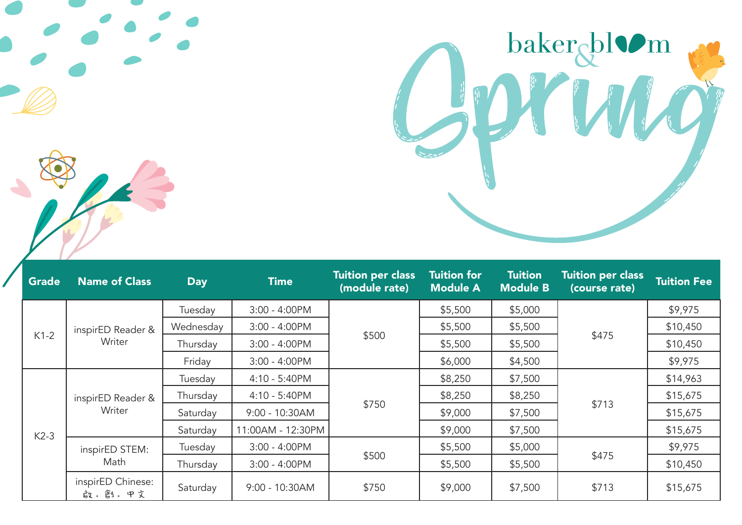

| <b>Grade</b> | <b>Name of Class</b>        | <b>Day</b> | <b>Time</b>       | <b>Tuition per class</b><br>(module rate) | <b>Tuition for</b><br><b>Module A</b> | <b>Tuition</b><br><b>Module B</b> | <b>Tuition per class</b><br>(course rate) | <b>Tuition Fee</b> |
|--------------|-----------------------------|------------|-------------------|-------------------------------------------|---------------------------------------|-----------------------------------|-------------------------------------------|--------------------|
| $K1-2$       | inspirED Reader &<br>Writer | Tuesday    | $3:00 - 4:00$ PM  | \$500                                     | \$5,500                               | \$5,000                           |                                           | \$9,975            |
|              |                             | Wednesday  | $3:00 - 4:00$ PM  |                                           | \$5,500                               | \$5,500                           | \$475                                     | \$10,450           |
|              |                             | Thursday   | $3:00 - 4:00$ PM  |                                           | \$5,500                               | \$5,500                           |                                           | \$10,450           |
|              |                             | Friday     | 3:00 - 4:00PM     |                                           | \$6,000                               | \$4,500                           |                                           | \$9,975            |
| $K2-3$       | inspirED Reader &<br>Writer | Tuesday    | 4:10 - 5:40PM     | \$750                                     | \$8,250                               | \$7,500                           | \$713                                     | \$14,963           |
|              |                             | Thursday   | 4:10 - 5:40PM     |                                           | \$8,250                               | \$8,250                           |                                           | \$15,675           |
|              |                             | Saturday   | 9:00 - 10:30AM    |                                           | \$9,000                               | \$7,500                           |                                           | \$15,675           |
|              |                             | Saturday   | 11:00AM - 12:30PM |                                           | \$9,000                               | \$7,500                           |                                           | \$15,675           |
|              | inspirED STEM:<br>Math      | Tuesday    | $3:00 - 4:00$ PM  |                                           | \$5,500                               | \$5,000                           |                                           | \$9,975            |
|              |                             | Thursday   | $3:00 - 4:00$ PM  | \$500                                     | \$5,500                               | \$5,500                           | \$475                                     | \$10,450           |
|              | inspirED Chinese:<br>啟。創。中文 | Saturday   | $9:00 - 10:30AM$  | \$750                                     | \$9,000                               | \$7,500                           | \$713                                     | \$15,675           |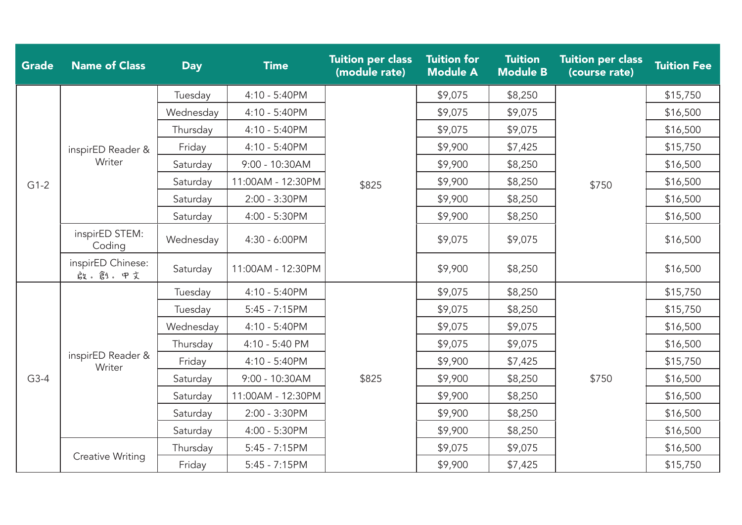| <b>Grade</b> | <b>Name of Class</b>        | <b>Day</b> | <b>Time</b>       | <b>Tuition per class</b><br>(module rate) | <b>Tuition for</b><br><b>Module A</b> | <b>Tuition</b><br><b>Module B</b> | <b>Tuition per class</b><br>(course rate) | <b>Tuition Fee</b> |
|--------------|-----------------------------|------------|-------------------|-------------------------------------------|---------------------------------------|-----------------------------------|-------------------------------------------|--------------------|
|              | inspirED Reader &<br>Writer | Tuesday    | 4:10 - 5:40PM     |                                           | \$9,075                               | \$8,250                           | \$750                                     | \$15,750           |
|              |                             | Wednesday  | 4:10 - 5:40PM     |                                           | \$9,075                               | \$9,075                           |                                           | \$16,500           |
|              |                             | Thursday   | 4:10 - 5:40PM     |                                           | \$9,075                               | \$9,075                           |                                           | \$16,500           |
|              |                             | Friday     | 4:10 - 5:40PM     |                                           | \$9,900                               | \$7,425                           |                                           | \$15,750           |
|              |                             | Saturday   | 9:00 - 10:30AM    |                                           | \$9,900                               | \$8,250                           |                                           | \$16,500           |
| $G1-2$       |                             | Saturday   | 11:00AM - 12:30PM | \$825                                     | \$9,900                               | \$8,250                           |                                           | \$16,500           |
|              |                             | Saturday   | 2:00 - 3:30PM     |                                           | \$9,900                               | \$8,250                           |                                           | \$16,500           |
|              |                             | Saturday   | 4:00 - 5:30PM     |                                           | \$9,900                               | \$8,250                           |                                           | \$16,500           |
|              | inspirED STEM:<br>Coding    | Wednesday  | 4:30 - 6:00PM     |                                           | \$9,075                               | \$9,075                           |                                           | \$16,500           |
|              | inspirED Chinese:<br>啟。創。中文 | Saturday   | 11:00AM - 12:30PM |                                           | \$9,900                               | \$8,250                           |                                           | \$16,500           |
|              | inspirED Reader &<br>Writer | Tuesday    | 4:10 - 5:40PM     | \$825                                     | \$9,075                               | \$8,250                           | \$750                                     | \$15,750           |
|              |                             | Tuesday    | $5:45 - 7:15$ PM  |                                           | \$9,075                               | \$8,250                           |                                           | \$15,750           |
|              |                             | Wednesday  | 4:10 - 5:40PM     |                                           | \$9,075                               | \$9,075                           |                                           | \$16,500           |
| $G3-4$       |                             | Thursday   | 4:10 - 5:40 PM    |                                           | \$9,075                               | \$9,075                           |                                           | \$16,500           |
|              |                             | Friday     | 4:10 - 5:40PM     |                                           | \$9,900                               | \$7,425                           |                                           | \$15,750           |
|              |                             | Saturday   | 9:00 - 10:30AM    |                                           | \$9,900                               | \$8,250                           |                                           | \$16,500           |
|              |                             | Saturday   | 11:00AM - 12:30PM |                                           | \$9,900                               | \$8,250                           |                                           | \$16,500           |
|              |                             | Saturday   | 2:00 - 3:30PM     |                                           | \$9,900                               | \$8,250                           |                                           | \$16,500           |
|              |                             | Saturday   | 4:00 - 5:30PM     |                                           | \$9,900                               | \$8,250                           |                                           | \$16,500           |
|              | <b>Creative Writing</b>     | Thursday   | $5:45 - 7:15PM$   |                                           | \$9,075                               | \$9,075                           |                                           | \$16,500           |
|              |                             | Friday     | $5:45 - 7:15$ PM  |                                           | \$9,900                               | \$7,425                           |                                           | \$15,750           |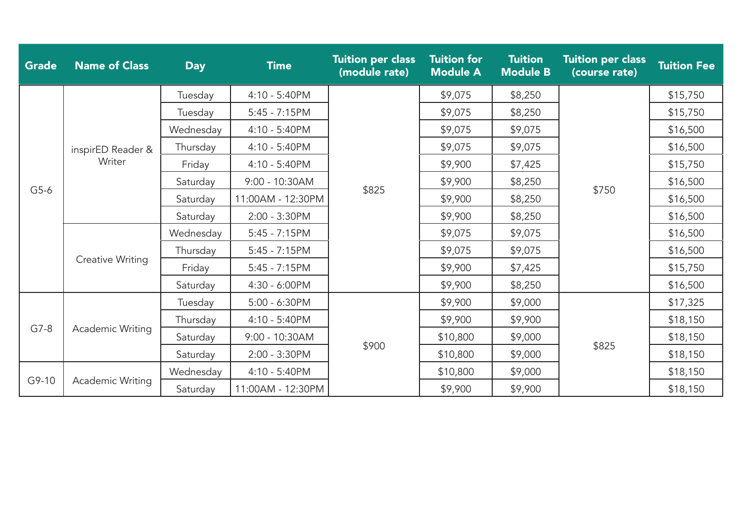| <b>Grade</b> | <b>Name of Class</b>        | <b>Day</b> | <b>Time</b>       | <b>Tuition per class</b><br>(module rate) | <b>Tuition for</b><br><b>Module A</b> | <b>Tuition</b><br><b>Module B</b> | <b>Tuition per class</b><br>(course rate) | <b>Tuition Fee</b> |
|--------------|-----------------------------|------------|-------------------|-------------------------------------------|---------------------------------------|-----------------------------------|-------------------------------------------|--------------------|
| $G5-6$       | inspirED Reader &<br>Writer | Tuesday    | 4:10 - 5:40PM     |                                           | \$9,075                               | \$8,250                           |                                           | \$15,750           |
|              |                             | Tuesday    | $5:45 - 7:15PM$   |                                           | \$9,075                               | \$8,250                           | \$750                                     | \$15,750           |
|              |                             | Wednesday  | 4:10 - 5:40PM     |                                           | \$9,075                               | \$9,075                           |                                           | \$16,500           |
|              |                             | Thursday   | 4:10 - 5:40PM     |                                           | \$9,075                               | \$9,075                           |                                           | \$16,500           |
|              |                             | Friday     | 4:10 - 5:40PM     |                                           | \$9,900                               | \$7,425                           |                                           | \$15,750           |
|              |                             | Saturday   | 9:00 - 10:30AM    | \$825                                     | \$9,900                               | \$8,250                           |                                           | \$16,500           |
|              |                             | Saturday   | 11:00AM - 12:30PM |                                           | \$9,900                               | \$8,250                           |                                           | \$16,500           |
|              |                             | Saturday   | 2:00 - 3:30PM     |                                           | \$9,900                               | \$8,250                           |                                           | \$16,500           |
|              | Creative Writing            | Wednesday  | $5:45 - 7:15PM$   |                                           | \$9,075                               | \$9,075                           |                                           | \$16,500           |
|              |                             | Thursday   | $5:45 - 7:15PM$   |                                           | \$9,075                               | \$9,075                           |                                           | \$16,500           |
|              |                             | Friday     | $5:45 - 7:15PM$   |                                           | \$9,900                               | \$7,425                           |                                           | \$15,750           |
|              |                             | Saturday   | 4:30 - 6:00PM     |                                           | \$9,900                               | \$8,250                           |                                           | \$16,500           |
|              | Academic Writing            | Tuesday    | 5:00 - 6:30PM     |                                           | \$9,900                               | \$9,000                           |                                           | \$17,325           |
| $G7-8$       |                             | Thursday   | 4:10 - 5:40PM     | \$900                                     | \$9,900                               | \$9,900                           |                                           | \$18,150           |
|              |                             | Saturday   | 9:00 - 10:30AM    |                                           | \$10,800                              | \$9,000                           | \$825                                     | \$18,150           |
|              |                             | Saturday   | 2:00 - 3:30PM     |                                           | \$10,800                              | \$9,000                           |                                           | \$18,150           |
| G9-10        | Academic Writing            | Wednesday  | 4:10 - 5:40PM     |                                           | \$10,800                              | \$9,000                           |                                           | \$18,150           |
|              |                             | Saturday   | 11:00AM - 12:30PM |                                           | \$9,900                               | \$9,900                           |                                           | \$18,150           |